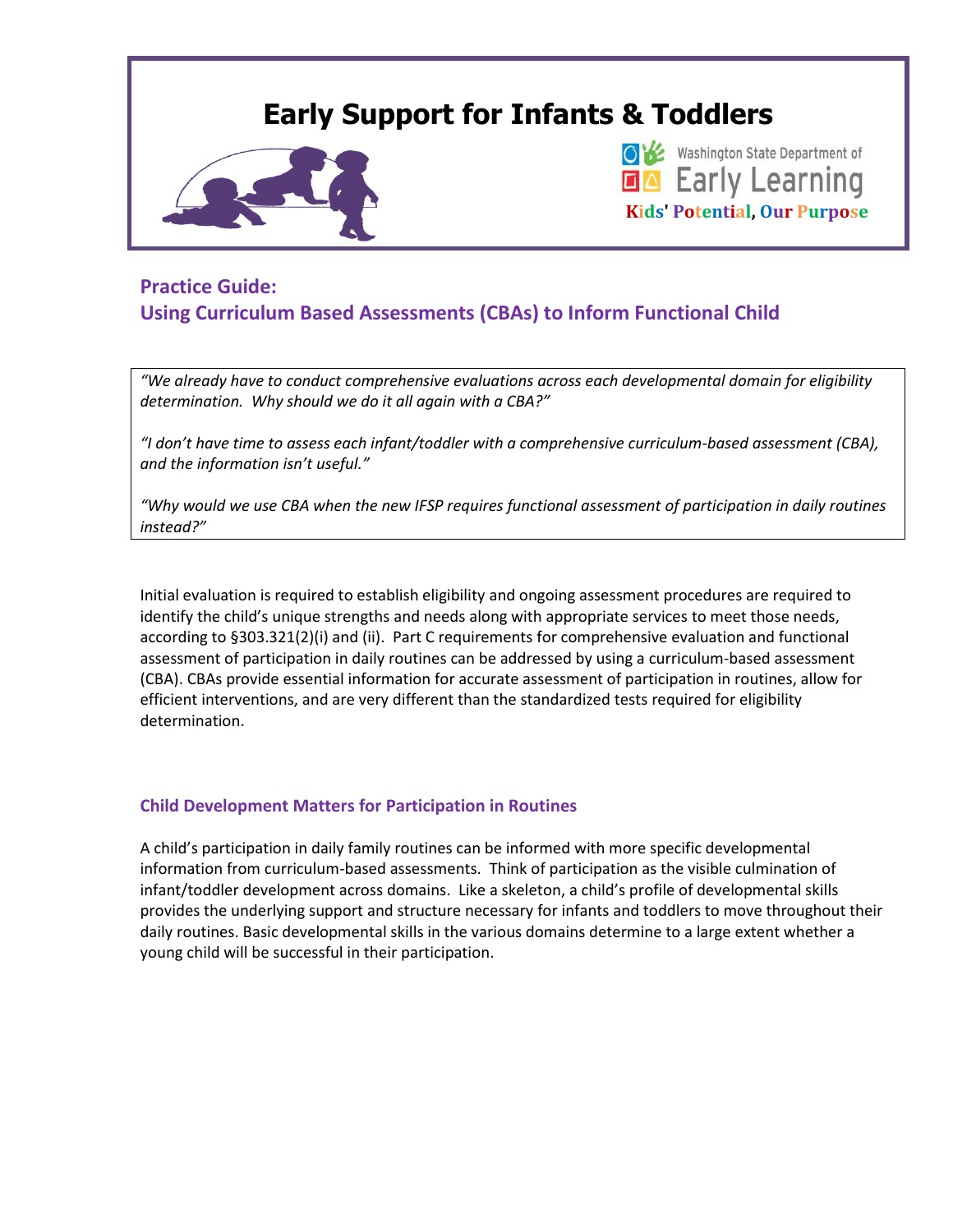# **Early Support for Infants & Toddlers** Washington State Department of **EA** Early Learning **Kids' Potential, Our Purpose**

## **Practice Guide: Using Curriculum Based Assessments (CBAs) to Inform Functional Child**

*"We already have to conduct comprehensive evaluations across each developmental domain for eligibility determination. Why should we do it all again with a CBA?"* 

*"I don't have time to assess each infant/toddler with a comprehensive curriculum-based assessment (CBA), and the information isn't useful."*

*"Why would we use CBA when the new IFSP requires functional assessment of participation in daily routines instead?"*

Initial evaluation is required to establish eligibility and ongoing assessment procedures are required to identify the child's unique strengths and needs along with appropriate services to meet those needs, according to §303.321(2)(i) and (ii). Part C requirements for comprehensive evaluation and functional assessment of participation in daily routines can be addressed by using a curriculum-based assessment (CBA). CBAs provide essential information for accurate assessment of participation in routines, allow for efficient interventions, and are very different than the standardized tests required for eligibility determination.

### **Child Development Matters for Participation in Routines**

A child's participation in daily family routines can be informed with more specific developmental information from curriculum-based assessments. Think of participation as the visible culmination of infant/toddler development across domains. Like a skeleton, a child's profile of developmental skills provides the underlying support and structure necessary for infants and toddlers to move throughout their daily routines. Basic developmental skills in the various domains determine to a large extent whether a young child will be successful in their participation.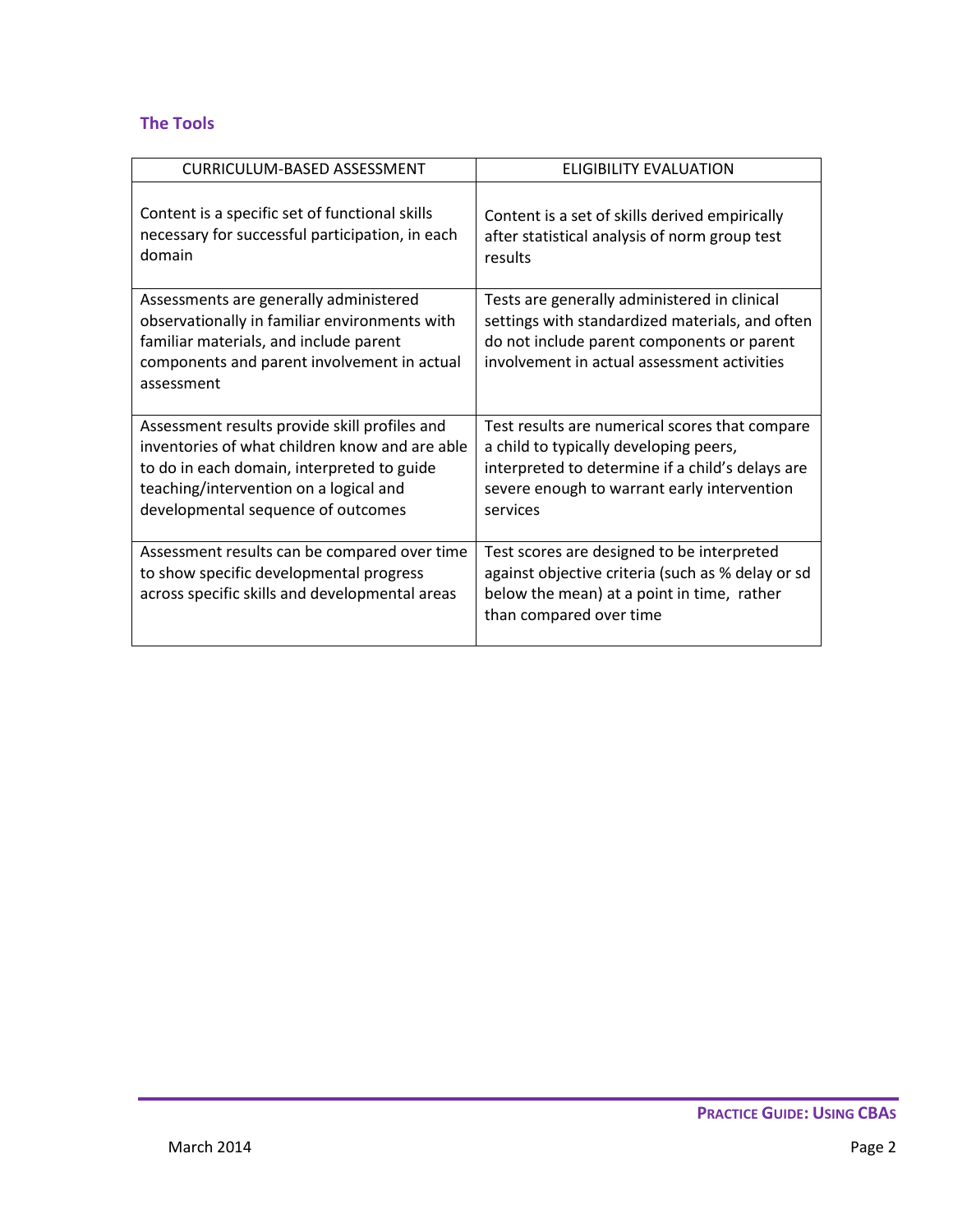## **The Tools**

| <b>CURRICULUM-BASED ASSESSMENT</b>                                                                                                                                                                                            | ELIGIBILITY EVALUATION                                                                                                                                                                                  |
|-------------------------------------------------------------------------------------------------------------------------------------------------------------------------------------------------------------------------------|---------------------------------------------------------------------------------------------------------------------------------------------------------------------------------------------------------|
|                                                                                                                                                                                                                               |                                                                                                                                                                                                         |
| Content is a specific set of functional skills<br>necessary for successful participation, in each<br>domain                                                                                                                   | Content is a set of skills derived empirically<br>after statistical analysis of norm group test<br>results                                                                                              |
| Assessments are generally administered<br>observationally in familiar environments with<br>familiar materials, and include parent<br>components and parent involvement in actual<br>assessment                                | Tests are generally administered in clinical<br>settings with standardized materials, and often<br>do not include parent components or parent<br>involvement in actual assessment activities            |
| Assessment results provide skill profiles and<br>inventories of what children know and are able<br>to do in each domain, interpreted to guide<br>teaching/intervention on a logical and<br>developmental sequence of outcomes | Test results are numerical scores that compare<br>a child to typically developing peers,<br>interpreted to determine if a child's delays are<br>severe enough to warrant early intervention<br>services |
| Assessment results can be compared over time<br>to show specific developmental progress<br>across specific skills and developmental areas                                                                                     | Test scores are designed to be interpreted<br>against objective criteria (such as % delay or sd<br>below the mean) at a point in time, rather<br>than compared over time                                |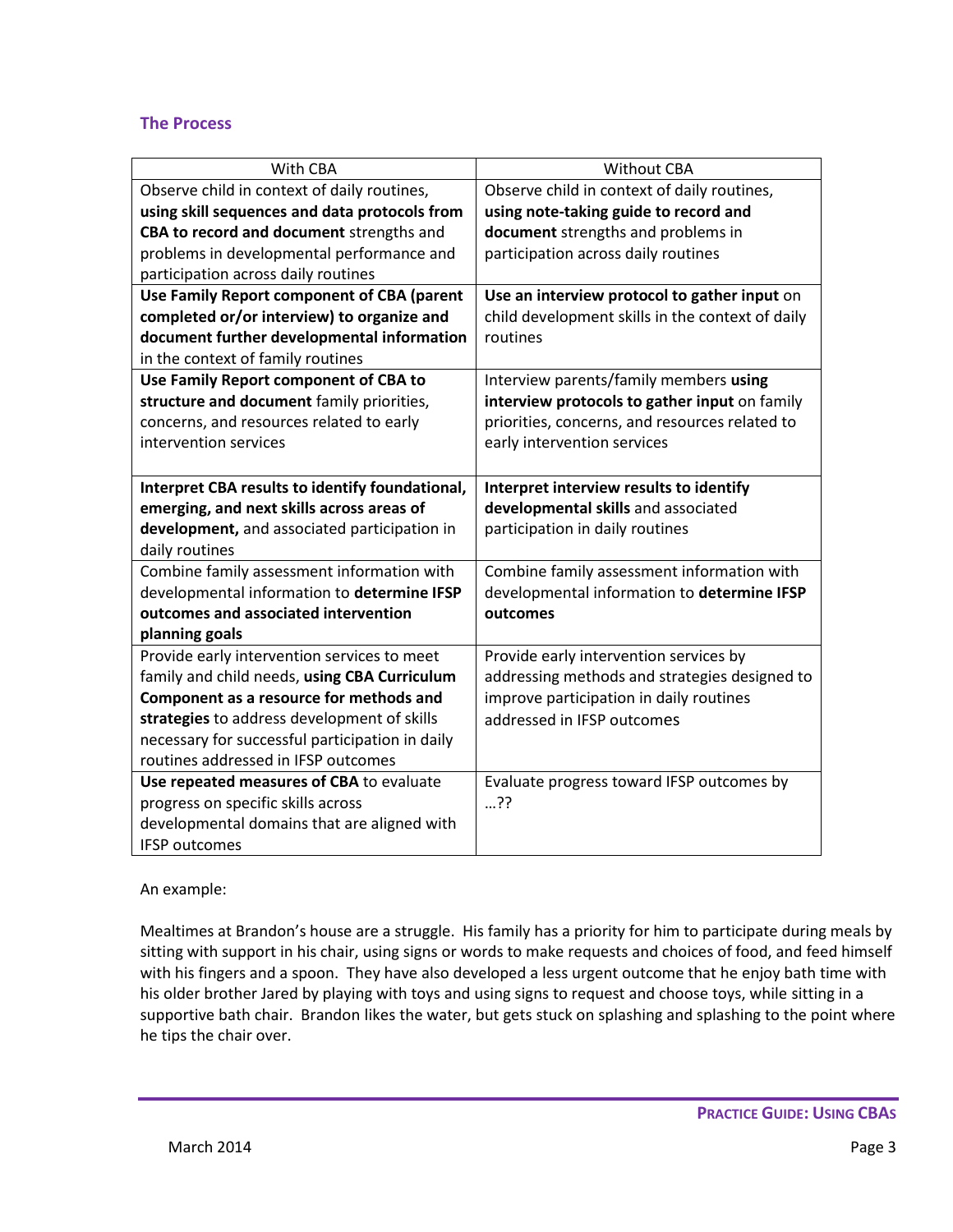#### **The Process**

| With CBA                                                            | <b>Without CBA</b>                               |
|---------------------------------------------------------------------|--------------------------------------------------|
| Observe child in context of daily routines,                         | Observe child in context of daily routines,      |
| using skill sequences and data protocols from                       | using note-taking guide to record and            |
| CBA to record and document strengths and                            | document strengths and problems in               |
| problems in developmental performance and                           | participation across daily routines              |
| participation across daily routines                                 |                                                  |
| Use Family Report component of CBA (parent                          | Use an interview protocol to gather input on     |
| completed or/or interview) to organize and                          | child development skills in the context of daily |
| document further developmental information                          | routines                                         |
| in the context of family routines                                   |                                                  |
| Use Family Report component of CBA to                               | Interview parents/family members using           |
| structure and document family priorities,                           | interview protocols to gather input on family    |
| concerns, and resources related to early                            | priorities, concerns, and resources related to   |
| intervention services                                               | early intervention services                      |
|                                                                     |                                                  |
| Interpret CBA results to identify foundational,                     | Interpret interview results to identify          |
|                                                                     |                                                  |
| emerging, and next skills across areas of                           | developmental skills and associated              |
| development, and associated participation in                        | participation in daily routines                  |
| daily routines                                                      |                                                  |
| Combine family assessment information with                          | Combine family assessment information with       |
| developmental information to determine IFSP                         | developmental information to determine IFSP      |
| outcomes and associated intervention                                | outcomes                                         |
| planning goals                                                      |                                                  |
| Provide early intervention services to meet                         | Provide early intervention services by           |
| family and child needs, using CBA Curriculum                        | addressing methods and strategies designed to    |
| Component as a resource for methods and                             | improve participation in daily routines          |
| strategies to address development of skills                         | addressed in IFSP outcomes                       |
| necessary for successful participation in daily                     |                                                  |
| routines addressed in IFSP outcomes                                 |                                                  |
| Use repeated measures of CBA to evaluate                            | Evaluate progress toward IFSP outcomes by        |
| progress on specific skills across                                  | ??…                                              |
| developmental domains that are aligned with<br><b>IFSP</b> outcomes |                                                  |

An example:

Mealtimes at Brandon's house are a struggle. His family has a priority for him to participate during meals by sitting with support in his chair, using signs or words to make requests and choices of food, and feed himself with his fingers and a spoon. They have also developed a less urgent outcome that he enjoy bath time with his older brother Jared by playing with toys and using signs to request and choose toys, while sitting in a supportive bath chair. Brandon likes the water, but gets stuck on splashing and splashing to the point where he tips the chair over.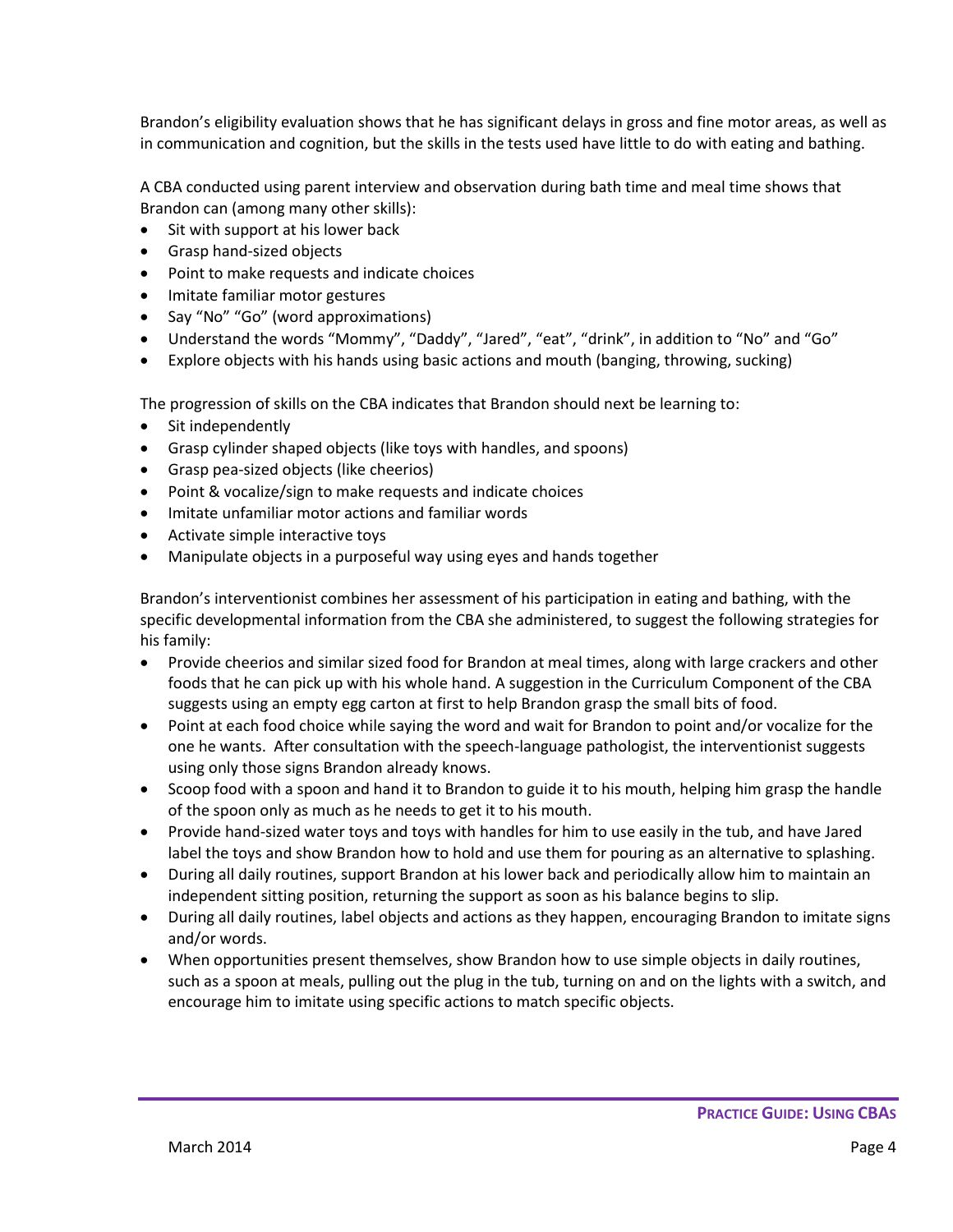Brandon's eligibility evaluation shows that he has significant delays in gross and fine motor areas, as well as in communication and cognition, but the skills in the tests used have little to do with eating and bathing.

A CBA conducted using parent interview and observation during bath time and meal time shows that Brandon can (among many other skills):

- Sit with support at his lower back
- Grasp hand-sized objects
- Point to make requests and indicate choices
- Imitate familiar motor gestures
- Say "No" "Go" (word approximations)
- Understand the words "Mommy", "Daddy", "Jared", "eat", "drink", in addition to "No" and "Go"
- Explore objects with his hands using basic actions and mouth (banging, throwing, sucking)

The progression of skills on the CBA indicates that Brandon should next be learning to:

- Sit independently
- Grasp cylinder shaped objects (like toys with handles, and spoons)
- Grasp pea-sized objects (like cheerios)
- Point & vocalize/sign to make requests and indicate choices
- Imitate unfamiliar motor actions and familiar words
- Activate simple interactive toys
- Manipulate objects in a purposeful way using eyes and hands together

Brandon's interventionist combines her assessment of his participation in eating and bathing, with the specific developmental information from the CBA she administered, to suggest the following strategies for his family:

- Provide cheerios and similar sized food for Brandon at meal times, along with large crackers and other foods that he can pick up with his whole hand. A suggestion in the Curriculum Component of the CBA suggests using an empty egg carton at first to help Brandon grasp the small bits of food.
- Point at each food choice while saying the word and wait for Brandon to point and/or vocalize for the one he wants. After consultation with the speech-language pathologist, the interventionist suggests using only those signs Brandon already knows.
- Scoop food with a spoon and hand it to Brandon to guide it to his mouth, helping him grasp the handle of the spoon only as much as he needs to get it to his mouth.
- Provide hand-sized water toys and toys with handles for him to use easily in the tub, and have Jared label the toys and show Brandon how to hold and use them for pouring as an alternative to splashing.
- During all daily routines, support Brandon at his lower back and periodically allow him to maintain an independent sitting position, returning the support as soon as his balance begins to slip.
- During all daily routines, label objects and actions as they happen, encouraging Brandon to imitate signs and/or words.
- When opportunities present themselves, show Brandon how to use simple objects in daily routines, such as a spoon at meals, pulling out the plug in the tub, turning on and on the lights with a switch, and encourage him to imitate using specific actions to match specific objects.